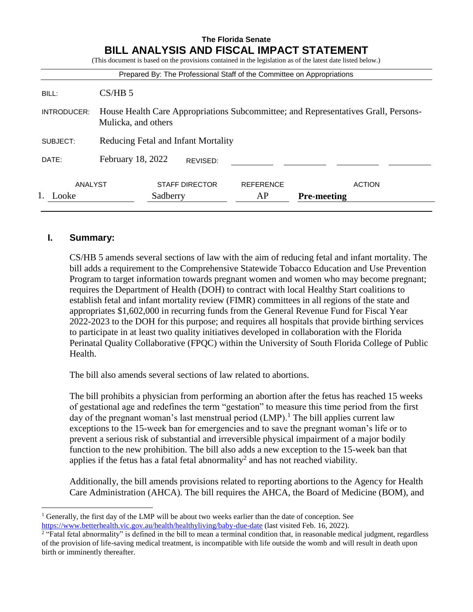#### **The Florida Senate BILL ANALYSIS AND FISCAL IMPACT STATEMENT** (This document is based on the provisions contained in the legislation as of the latest date listed below.)

|                  |                                                                                                           |                                   |  | Prepared By: The Professional Staff of the Committee on Appropriations |                                     |
|------------------|-----------------------------------------------------------------------------------------------------------|-----------------------------------|--|------------------------------------------------------------------------|-------------------------------------|
| BILL:            | CS/HB 5                                                                                                   |                                   |  |                                                                        |                                     |
| INTRODUCER:      | House Health Care Appropriations Subcommittee; and Representatives Grall, Persons-<br>Mulicka, and others |                                   |  |                                                                        |                                     |
| SUBJECT:         | Reducing Fetal and Infant Mortality                                                                       |                                   |  |                                                                        |                                     |
| DATE:            | February 18, 2022<br>REVISED:                                                                             |                                   |  |                                                                        |                                     |
| ANALYST<br>_ooke |                                                                                                           | <b>STAFF DIRECTOR</b><br>Sadberry |  | <b>REFERENCE</b><br>AP                                                 | <b>ACTION</b><br><b>Pre-meeting</b> |

### **I. Summary:**

 $\overline{a}$ 

CS/HB 5 amends several sections of law with the aim of reducing fetal and infant mortality. The bill adds a requirement to the Comprehensive Statewide Tobacco Education and Use Prevention Program to target information towards pregnant women and women who may become pregnant; requires the Department of Health (DOH) to contract with local Healthy Start coalitions to establish fetal and infant mortality review (FIMR) committees in all regions of the state and appropriates \$1,602,000 in recurring funds from the General Revenue Fund for Fiscal Year 2022-2023 to the DOH for this purpose; and requires all hospitals that provide birthing services to participate in at least two quality initiatives developed in collaboration with the Florida Perinatal Quality Collaborative (FPQC) within the University of South Florida College of Public Health.

The bill also amends several sections of law related to abortions.

The bill prohibits a physician from performing an abortion after the fetus has reached 15 weeks of gestational age and redefines the term "gestation" to measure this time period from the first day of the pregnant woman's last menstrual period  $(LMP)$ .<sup>1</sup> The bill applies current law exceptions to the 15-week ban for emergencies and to save the pregnant woman's life or to prevent a serious risk of substantial and irreversible physical impairment of a major bodily function to the new prohibition. The bill also adds a new exception to the 15-week ban that applies if the fetus has a fatal fetal abnormality<sup>2</sup> and has not reached viability.

Additionally, the bill amends provisions related to reporting abortions to the Agency for Health Care Administration (AHCA). The bill requires the AHCA, the Board of Medicine (BOM), and

<sup>1</sup> Generally, the first day of the LMP will be about two weeks earlier than the date of conception. See <https://www.betterhealth.vic.gov.au/health/healthyliving/baby-due-date> (last visited Feb. 16, 2022).

<sup>&</sup>lt;sup>2</sup> "Fatal fetal abnormality" is defined in the bill to mean a terminal condition that, in reasonable medical judgment, regardless of the provision of life-saving medical treatment, is incompatible with life outside the womb and will result in death upon birth or imminently thereafter.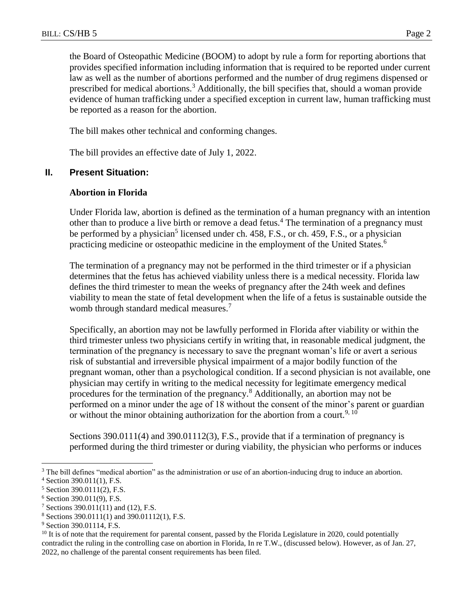the Board of Osteopathic Medicine (BOOM) to adopt by rule a form for reporting abortions that provides specified information including information that is required to be reported under current law as well as the number of abortions performed and the number of drug regimens dispensed or prescribed for medical abortions.<sup>3</sup> Additionally, the bill specifies that, should a woman provide evidence of human trafficking under a specified exception in current law, human trafficking must be reported as a reason for the abortion.

The bill makes other technical and conforming changes.

The bill provides an effective date of July 1, 2022.

# **II. Present Situation:**

## **Abortion in Florida**

Under Florida law, abortion is defined as the termination of a human pregnancy with an intention other than to produce a live birth or remove a dead fetus.<sup>4</sup> The termination of a pregnancy must be performed by a physician<sup>5</sup> licensed under ch. 458, F.S., or ch. 459, F.S., or a physician practicing medicine or osteopathic medicine in the employment of the United States.<sup>6</sup>

The termination of a pregnancy may not be performed in the third trimester or if a physician determines that the fetus has achieved viability unless there is a medical necessity. Florida law defines the third trimester to mean the weeks of pregnancy after the 24th week and defines viability to mean the state of fetal development when the life of a fetus is sustainable outside the womb through standard medical measures.<sup>7</sup>

Specifically, an abortion may not be lawfully performed in Florida after viability or within the third trimester unless two physicians certify in writing that, in reasonable medical judgment, the termination of the pregnancy is necessary to save the pregnant woman's life or avert a serious risk of substantial and irreversible physical impairment of a major bodily function of the pregnant woman, other than a psychological condition. If a second physician is not available, one physician may certify in writing to the medical necessity for legitimate emergency medical procedures for the termination of the pregnancy.<sup>8</sup> Additionally, an abortion may not be performed on a minor under the age of 18 without the consent of the minor's parent or guardian or without the minor obtaining authorization for the abortion from a court.<sup>9, 10</sup>

Sections 390.0111(4) and 390.01112(3), F.S., provide that if a termination of pregnancy is performed during the third trimester or during viability, the physician who performs or induces

<sup>&</sup>lt;sup>3</sup> The bill defines "medical abortion" as the administration or use of an abortion-inducing drug to induce an abortion.

<sup>4</sup> Section 390.011(1), F.S.

<sup>5</sup> Section 390.0111(2), F.S.

<sup>6</sup> Section 390.011(9), F.S.

<sup>&</sup>lt;sup>7</sup> Sections 390.011(11) and (12), F.S.

<sup>8</sup> Sections 390.0111(1) and 390.01112(1), F.S.

<sup>&</sup>lt;sup>9</sup> Section 390.01114, F.S.

 $10$  It is of note that the requirement for parental consent, passed by the Florida Legislature in 2020, could potentially contradict the ruling in the controlling case on abortion in Florida, In re T.W., (discussed below). However, as of Jan. 27, 2022, no challenge of the parental consent requirements has been filed.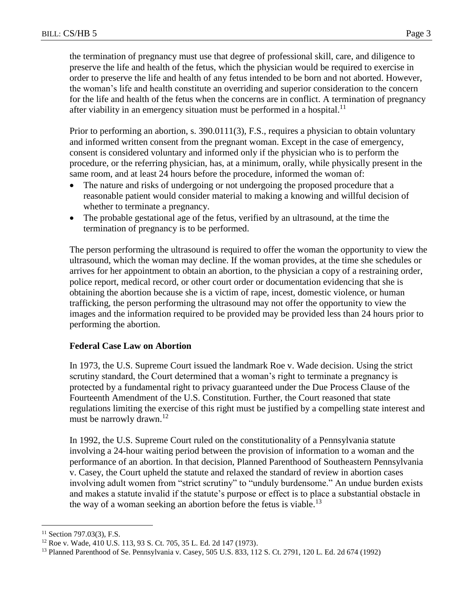the termination of pregnancy must use that degree of professional skill, care, and diligence to preserve the life and health of the fetus, which the physician would be required to exercise in order to preserve the life and health of any fetus intended to be born and not aborted. However, the woman's life and health constitute an overriding and superior consideration to the concern for the life and health of the fetus when the concerns are in conflict. A termination of pregnancy after viability in an emergency situation must be performed in a hospital.<sup>11</sup>

Prior to performing an abortion, s. 390.0111(3), F.S., requires a physician to obtain voluntary and informed written consent from the pregnant woman. Except in the case of emergency, consent is considered voluntary and informed only if the physician who is to perform the procedure, or the referring physician, has, at a minimum, orally, while physically present in the same room, and at least 24 hours before the procedure, informed the woman of:

- The nature and risks of undergoing or not undergoing the proposed procedure that a reasonable patient would consider material to making a knowing and willful decision of whether to terminate a pregnancy.
- The probable gestational age of the fetus, verified by an ultrasound, at the time the termination of pregnancy is to be performed.

The person performing the ultrasound is required to offer the woman the opportunity to view the ultrasound, which the woman may decline. If the woman provides, at the time she schedules or arrives for her appointment to obtain an abortion, to the physician a copy of a restraining order, police report, medical record, or other court order or documentation evidencing that she is obtaining the abortion because she is a victim of rape, incest, domestic violence, or human trafficking, the person performing the ultrasound may not offer the opportunity to view the images and the information required to be provided may be provided less than 24 hours prior to performing the abortion.

# **Federal Case Law on Abortion**

In 1973, the U.S. Supreme Court issued the landmark Roe v. Wade decision. Using the strict scrutiny standard, the Court determined that a woman's right to terminate a pregnancy is protected by a fundamental right to privacy guaranteed under the Due Process Clause of the Fourteenth Amendment of the U.S. Constitution. Further, the Court reasoned that state regulations limiting the exercise of this right must be justified by a compelling state interest and must be narrowly drawn.<sup>12</sup>

In 1992, the U.S. Supreme Court ruled on the constitutionality of a Pennsylvania statute involving a 24-hour waiting period between the provision of information to a woman and the performance of an abortion. In that decision, Planned Parenthood of Southeastern Pennsylvania v. Casey, the Court upheld the statute and relaxed the standard of review in abortion cases involving adult women from "strict scrutiny" to "unduly burdensome." An undue burden exists and makes a statute invalid if the statute's purpose or effect is to place a substantial obstacle in the way of a woman seeking an abortion before the fetus is viable.<sup>13</sup>

 $11$  Section 797.03(3), F.S.

<sup>12</sup> Roe v. Wade, 410 U.S. 113, 93 S. Ct. 705, 35 L. Ed. 2d 147 (1973).

<sup>13</sup> Planned Parenthood of Se. Pennsylvania v. Casey, 505 U.S. 833, 112 S. Ct. 2791, 120 L. Ed. 2d 674 (1992)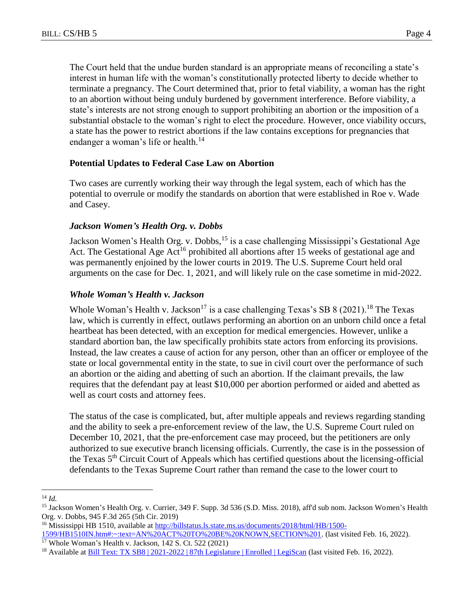The Court held that the undue burden standard is an appropriate means of reconciling a state's interest in human life with the woman's constitutionally protected liberty to decide whether to terminate a pregnancy. The Court determined that, prior to fetal viability, a woman has the right to an abortion without being unduly burdened by government interference. Before viability, a state's interests are not strong enough to support prohibiting an abortion or the imposition of a substantial obstacle to the woman's right to elect the procedure. However, once viability occurs, a state has the power to restrict abortions if the law contains exceptions for pregnancies that endanger a woman's life or health.<sup>14</sup>

# **Potential Updates to Federal Case Law on Abortion**

Two cases are currently working their way through the legal system, each of which has the potential to overrule or modify the standards on abortion that were established in Roe v. Wade and Casey.

# *Jackson Women's Health Org. v. Dobbs*

Jackson Women's Health Org. v. Dobbs, <sup>15</sup> is a case challenging Mississippi's Gestational Age Act. The Gestational Age Act<sup>16</sup> prohibited all abortions after 15 weeks of gestational age and was permanently enjoined by the lower courts in 2019. The U.S. Supreme Court held oral arguments on the case for Dec. 1, 2021, and will likely rule on the case sometime in mid-2022.

# *Whole Woman's Health v. Jackson*

Whole Woman's Health v. Jackson<sup>17</sup> is a case challenging Texas's SB 8 (2021).<sup>18</sup> The Texas law, which is currently in effect, outlaws performing an abortion on an unborn child once a fetal heartbeat has been detected, with an exception for medical emergencies. However, unlike a standard abortion ban, the law specifically prohibits state actors from enforcing its provisions. Instead, the law creates a cause of action for any person, other than an officer or employee of the state or local governmental entity in the state, to sue in civil court over the performance of such an abortion or the aiding and abetting of such an abortion. If the claimant prevails, the law requires that the defendant pay at least \$10,000 per abortion performed or aided and abetted as well as court costs and attorney fees.

The status of the case is complicated, but, after multiple appeals and reviews regarding standing and the ability to seek a pre-enforcement review of the law, the U.S. Supreme Court ruled on December 10, 2021, that the pre-enforcement case may proceed, but the petitioners are only authorized to sue executive branch licensing officials. Currently, the case is in the possession of the Texas 5<sup>th</sup> Circuit Court of Appeals which has certified questions about the licensing-official defendants to the Texas Supreme Court rather than remand the case to the lower court to

 $\overline{a}$ <sup>14</sup> *Id.*

<sup>15</sup> Jackson Women's Health Org. v. Currier, 349 F. Supp. 3d 536 (S.D. Miss. 2018), aff'd sub nom. Jackson Women's Health Org. v. Dobbs, 945 F.3d 265 (5th Cir. 2019)

<sup>&</sup>lt;sup>16</sup> Mississippi HB 1510, available at [http://billstatus.ls.state.ms.us/documents/2018/html/HB/1500-](http://billstatus.ls.state.ms.us/documents/2018/html/HB/1500-1599/HB1510IN.htm#:~:text=AN%20ACT%20TO%20BE%20KNOWN,SECTION%201) [1599/HB1510IN.htm#:~:text=AN%20ACT%20TO%20BE%20KNOWN,SECTION%201.](http://billstatus.ls.state.ms.us/documents/2018/html/HB/1500-1599/HB1510IN.htm#:~:text=AN%20ACT%20TO%20BE%20KNOWN,SECTION%201) (last visited Feb. 16, 2022).

<sup>17</sup> Whole Woman's Health v. Jackson, 142 S. Ct. 522 (2021)

<sup>&</sup>lt;sup>18</sup> Available at **Bill Text: TX SB8** | 2021-2022 | 87th Legislature | Enrolled | LegiScan (last visited Feb. 16, 2022).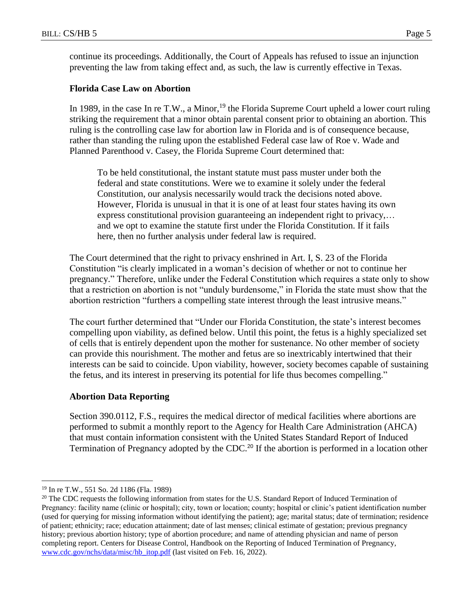continue its proceedings. Additionally, the Court of Appeals has refused to issue an injunction preventing the law from taking effect and, as such, the law is currently effective in Texas.

### **Florida Case Law on Abortion**

In 1989, in the case In re T.W., a Minor,<sup>19</sup> the Florida Supreme Court upheld a lower court ruling striking the requirement that a minor obtain parental consent prior to obtaining an abortion. This ruling is the controlling case law for abortion law in Florida and is of consequence because, rather than standing the ruling upon the established Federal case law of Roe v. Wade and Planned Parenthood v. Casey, the Florida Supreme Court determined that:

To be held constitutional, the instant statute must pass muster under both the federal and state constitutions. Were we to examine it solely under the federal Constitution, our analysis necessarily would track the decisions noted above. However, Florida is unusual in that it is one of at least four states having its own express constitutional provision guaranteeing an independent right to privacy,... and we opt to examine the statute first under the Florida Constitution. If it fails here, then no further analysis under federal law is required.

The Court determined that the right to privacy enshrined in Art. I, S. 23 of the Florida Constitution "is clearly implicated in a woman's decision of whether or not to continue her pregnancy." Therefore, unlike under the Federal Constitution which requires a state only to show that a restriction on abortion is not "unduly burdensome," in Florida the state must show that the abortion restriction "furthers a compelling state interest through the least intrusive means."

The court further determined that "Under our Florida Constitution, the state's interest becomes compelling upon viability, as defined below. Until this point, the fetus is a highly specialized set of cells that is entirely dependent upon the mother for sustenance. No other member of society can provide this nourishment. The mother and fetus are so inextricably intertwined that their interests can be said to coincide. Upon viability, however, society becomes capable of sustaining the fetus, and its interest in preserving its potential for life thus becomes compelling."

#### **Abortion Data Reporting**

Section 390.0112, F.S., requires the medical director of medical facilities where abortions are performed to submit a monthly report to the Agency for Health Care Administration (AHCA) that must contain information consistent with the United States Standard Report of Induced Termination of Pregnancy adopted by the CDC.<sup>20</sup> If the abortion is performed in a location other

<sup>19</sup> In re T.W., 551 So. 2d 1186 (Fla. 1989)

<sup>&</sup>lt;sup>20</sup> The CDC requests the following information from states for the U.S. Standard Report of Induced Termination of Pregnancy: facility name (clinic or hospital); city, town or location; county; hospital or clinic's patient identification number (used for querying for missing information without identifying the patient); age; marital status; date of termination; residence of patient; ethnicity; race; education attainment; date of last menses; clinical estimate of gestation; previous pregnancy history; previous abortion history; type of abortion procedure; and name of attending physician and name of person completing report. Centers for Disease Control, Handbook on the Reporting of Induced Termination of Pregnancy, [www.cdc.gov/nchs/data/misc/hb\\_itop.pdf](http://www.cdc.gov/nchs/data/misc/hb_itop.pdf) (last visited on Feb. 16, 2022).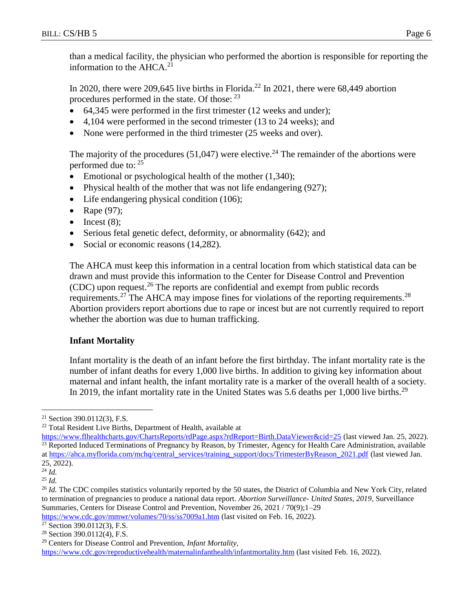than a medical facility, the physician who performed the abortion is responsible for reporting the information to the  $A HCA.<sup>21</sup>$ 

In 2020, there were 209,645 live births in Florida.<sup>22</sup> In 2021, there were 68,449 abortion procedures performed in the state. Of those:  $^{23}$ 

- 64,345 were performed in the first trimester (12 weeks and under);
- 4,104 were performed in the second trimester (13 to 24 weeks); and
- None were performed in the third trimester (25 weeks and over).

The majority of the procedures (51,047) were elective.<sup>24</sup> The remainder of the abortions were performed due to: <sup>25</sup>

- Emotional or psychological health of the mother  $(1,340)$ ;
- Physical health of the mother that was not life endangering (927);
- Life endangering physical condition (106);
- Rape  $(97)$ ;
- $\bullet$  Incest (8):
- Serious fetal genetic defect, deformity, or abnormality (642); and
- Social or economic reasons (14,282).

The AHCA must keep this information in a central location from which statistical data can be drawn and must provide this information to the Center for Disease Control and Prevention (CDC) upon request.<sup>26</sup> The reports are confidential and exempt from public records requirements.<sup>27</sup> The AHCA may impose fines for violations of the reporting requirements.<sup>28</sup> Abortion providers report abortions due to rape or incest but are not currently required to report whether the abortion was due to human trafficking.

# **Infant Mortality**

Infant mortality is the death of an infant before the first birthday. The infant mortality rate is the number of infant deaths for every 1,000 live births. In addition to giving key information about maternal and infant health, the infant mortality rate is a marker of the overall health of a society. In 2019, the infant mortality rate in the United States was 5.6 deaths per 1,000 live births.<sup>29</sup>

 $\overline{a}$ 

<https://www.cdc.gov/mmwr/volumes/70/ss/ss7009a1.htm> (last visited on Feb. 16, 2022).

<https://www.cdc.gov/reproductivehealth/maternalinfanthealth/infantmortality.htm> (last visited Feb. 16, 2022).

<sup>21</sup> Section 390.0112(3), F.S.

<sup>22</sup> Total Resident Live Births, Department of Health, available at

<https://www.flhealthcharts.gov/ChartsReports/rdPage.aspx?rdReport=Birth.DataViewer&cid=25> (last viewed Jan. 25, 2022). <sup>23</sup> Reported Induced Terminations of Pregnancy by Reason, by Trimester, Agency for Health Care Administration, available a[t https://ahca.myflorida.com/mchq/central\\_services/training\\_support/docs/TrimesterByReason\\_2021.pdf](https://ahca.myflorida.com/mchq/central_services/training_support/docs/TrimesterByReason_2021.pdf) (last viewed Jan. 25, 2022).

<sup>24</sup> *Id.*

<sup>25</sup> *Id.*

<sup>&</sup>lt;sup>26</sup> *Id.* The CDC compiles statistics voluntarily reported by the 50 states, the District of Columbia and New York City, related to termination of pregnancies to produce a national data report. *Abortion Surveillance- United States, 2019*, Surveillance Summaries, Centers for Disease Control and Prevention, November 26, 2021 / 70(9);1–29

<sup>27</sup> Section 390.0112(3), F.S.

<sup>28</sup> Section 390.0112(4), F.S.

<sup>29</sup> Centers for Disease Control and Prevention, *Infant Mortality,*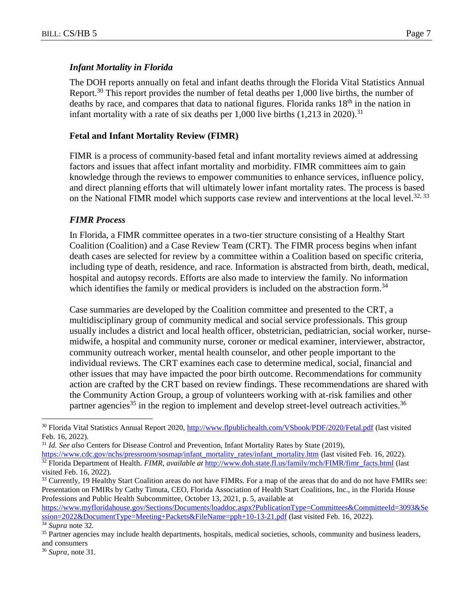### *Infant Mortality in Florida*

The DOH reports annually on fetal and infant deaths through the Florida Vital Statistics Annual Report.<sup>30</sup> This report provides the number of fetal deaths per  $1,000$  live births, the number of deaths by race, and compares that data to national figures. Florida ranks  $18<sup>th</sup>$  in the nation in infant mortality with a rate of six deaths per  $1,000$  live births  $(1,213$  in 2020).<sup>31</sup>

### **Fetal and Infant Mortality Review (FIMR)**

FIMR is a process of community-based fetal and infant mortality reviews aimed at addressing factors and issues that affect infant mortality and morbidity. FIMR committees aim to gain knowledge through the reviews to empower communities to enhance services, influence policy, and direct planning efforts that will ultimately lower infant mortality rates. The process is based on the National FIMR model which supports case review and interventions at the local level.<sup>32, 33</sup>

#### *FIMR Process*

In Florida, a FIMR committee operates in a two-tier structure consisting of a Healthy Start Coalition (Coalition) and a Case Review Team (CRT). The FIMR process begins when infant death cases are selected for review by a committee within a Coalition based on specific criteria, including type of death, residence, and race. Information is abstracted from birth, death, medical, hospital and autopsy records. Efforts are also made to interview the family. No information which identifies the family or medical providers is included on the abstraction form.<sup>34</sup>

Case summaries are developed by the Coalition committee and presented to the CRT, a multidisciplinary group of community medical and social service professionals. This group usually includes a district and local health officer, obstetrician, pediatrician, social worker, nursemidwife, a hospital and community nurse, coroner or medical examiner, interviewer, abstractor, community outreach worker, mental health counselor, and other people important to the individual reviews. The CRT examines each case to determine medical, social, financial and other issues that may have impacted the poor birth outcome. Recommendations for community action are crafted by the CRT based on review findings. These recommendations are shared with the Community Action Group, a group of volunteers working with at-risk families and other partner agencies<sup>35</sup> in the region to implement and develop street-level outreach activities.<sup>36</sup>

<sup>&</sup>lt;sup>30</sup> Florida Vital Statistics Annual Report 2020,<http://www.flpublichealth.com/VSbook/PDF/2020/Fetal.pdf> (last visited Feb. 16, 2022).

<sup>&</sup>lt;sup>31</sup> *Id. See also* Centers for Disease Control and Prevention, Infant Mortality Rates by State (2019),

[https://www.cdc.gov/nchs/pressroom/sosmap/infant\\_mortality\\_rates/infant\\_mortality.htm](https://www.cdc.gov/nchs/pressroom/sosmap/infant_mortality_rates/infant_mortality.htm) (last visited Feb. 16, 2022). <sup>32</sup> Florida Department of Health. *FIMR, available at* [http://www.doh.state.fl.us/family/mch/FIMR/fimr\\_facts.html](http://www.doh.state.fl.us/family/mch/FIMR/fimr_facts.html) (last visited Feb. 16, 2022).

<sup>&</sup>lt;sup>33</sup> Currently, 19 Healthy Start Coalition areas do not have FIMRs. For a map of the areas that do and do not have FMIRs see: Presentation on FMIRs by Cathy Timuta, CEO, Florida Association of Health Start Coalitions, Inc., in the Florida House Professions and Public Health Subcommittee, October 13, 2021, p. 5, available at

[https://www.myfloridahouse.gov/Sections/Documents/loaddoc.aspx?PublicationType=Committees&CommitteeId=3093&Se](https://www.myfloridahouse.gov/Sections/Documents/loaddoc.aspx?PublicationType=Committees&CommitteeId=3093&Session=2022&DocumentType=Meeting+Packets&FileName=pph+10-13-21.pdf) [ssion=2022&DocumentType=Meeting+Packets&FileName=pph+10-13-21.pdf](https://www.myfloridahouse.gov/Sections/Documents/loaddoc.aspx?PublicationType=Committees&CommitteeId=3093&Session=2022&DocumentType=Meeting+Packets&FileName=pph+10-13-21.pdf) (last visited Feb. 16, 2022).

<sup>34</sup> *Supra* note 32*.*

<sup>&</sup>lt;sup>35</sup> Partner agencies may include health departments, hospitals, medical societies, schools, community and business leaders, and consumers

<sup>36</sup> *Supra*, note 31.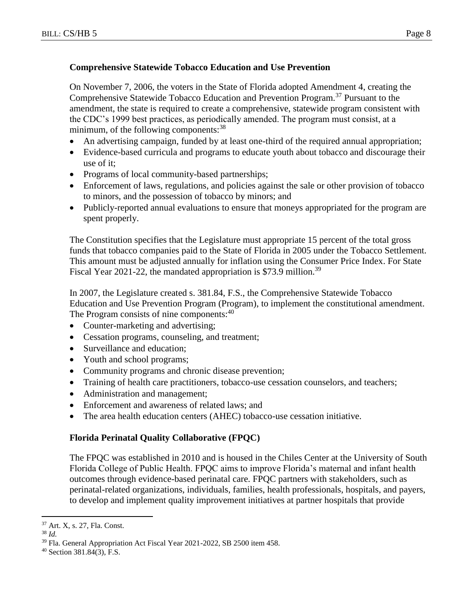# **Comprehensive Statewide Tobacco Education and Use Prevention**

On November 7, 2006, the voters in the State of Florida adopted Amendment 4, creating the Comprehensive Statewide Tobacco Education and Prevention Program.<sup>37</sup> Pursuant to the amendment, the state is required to create a comprehensive, statewide program consistent with the CDC's 1999 best practices, as periodically amended. The program must consist, at a minimum, of the following components:<sup>38</sup>

- An advertising campaign, funded by at least one-third of the required annual appropriation;
- Evidence-based curricula and programs to educate youth about tobacco and discourage their use of it;
- Programs of local community-based partnerships;
- Enforcement of laws, regulations, and policies against the sale or other provision of tobacco to minors, and the possession of tobacco by minors; and
- Publicly-reported annual evaluations to ensure that moneys appropriated for the program are spent properly.

The Constitution specifies that the Legislature must appropriate 15 percent of the total gross funds that tobacco companies paid to the State of Florida in 2005 under the Tobacco Settlement. This amount must be adjusted annually for inflation using the Consumer Price Index. For State Fiscal Year 2021-22, the mandated appropriation is \$73.9 million.<sup>39</sup>

In 2007, the Legislature created s. 381.84, F.S., the Comprehensive Statewide Tobacco Education and Use Prevention Program (Program), to implement the constitutional amendment. The Program consists of nine components:<sup>40</sup>

- Counter-marketing and advertising;
- Cessation programs, counseling, and treatment;
- Surveillance and education;
- Youth and school programs;
- Community programs and chronic disease prevention;
- Training of health care practitioners, tobacco-use cessation counselors, and teachers;
- Administration and management;
- Enforcement and awareness of related laws; and
- The area health education centers (AHEC) tobacco-use cessation initiative.

# **Florida Perinatal Quality Collaborative (FPQC)**

The FPQC was established in 2010 and is housed in the Chiles Center at the University of South Florida College of Public Health. FPQC aims to improve Florida's maternal and infant health outcomes through evidence-based perinatal care. FPQC partners with stakeholders, such as perinatal-related organizations, individuals, families, health professionals, hospitals, and payers, to develop and implement quality improvement initiatives at partner hospitals that provide

<sup>37</sup> Art. X, s. 27, Fla. Const.

<sup>38</sup> *Id.*

<sup>&</sup>lt;sup>39</sup> Fla. General Appropriation Act Fiscal Year 2021-2022, SB 2500 item 458.

<sup>40</sup> Section 381.84(3), F.S.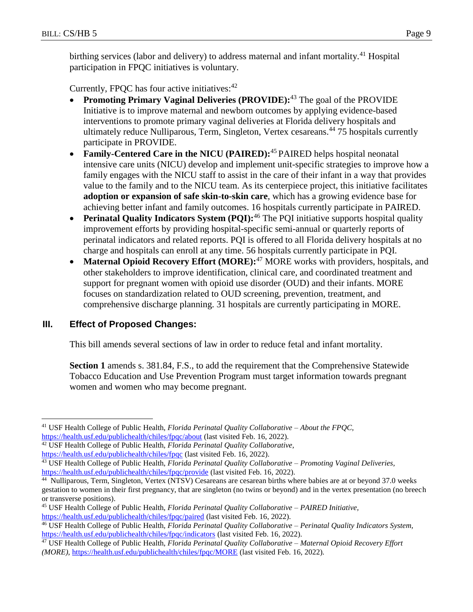birthing services (labor and delivery) to address maternal and infant mortality.<sup>41</sup> Hospital participation in FPQC initiatives is voluntary.

Currently, FPQC has four active initiatives: $42$ 

- **Promoting Primary Vaginal Deliveries (PROVIDE):**<sup>43</sup> The goal of the PROVIDE Initiative is to improve maternal and newborn outcomes by applying evidence-based interventions to promote primary vaginal deliveries at Florida delivery hospitals and ultimately reduce Nulliparous, Term, Singleton, Vertex cesareans.<sup>44</sup> 75 hospitals currently participate in PROVIDE.
- **Family-Centered Care in the NICU (PAIRED):**<sup>45</sup> PAIRED helps hospital neonatal intensive care units (NICU) develop and implement unit-specific strategies to improve how a family engages with the NICU staff to assist in the care of their infant in a way that provides value to the family and to the NICU team. As its centerpiece project, this initiative facilitates **adoption or expansion of safe skin-to-skin care**, which has a growing evidence base for achieving better infant and family outcomes. 16 hospitals currently participate in PAIRED.
- **Perinatal Quality Indicators System (PQI):**<sup>46</sup> The PQI initiative supports hospital quality improvement efforts by providing hospital-specific semi-annual or quarterly reports of perinatal indicators and related reports. PQI is offered to all Florida delivery hospitals at no charge and hospitals can enroll at any time. 56 hospitals currently participate in PQI.
- **Maternal Opioid Recovery Effort (MORE):**<sup>47</sup> MORE works with providers, hospitals, and other stakeholders to improve identification, clinical care, and coordinated treatment and support for pregnant women with opioid use disorder (OUD) and their infants. MORE focuses on standardization related to OUD screening, prevention, treatment, and comprehensive discharge planning. 31 hospitals are currently participating in MORE.

# **III. Effect of Proposed Changes:**

This bill amends several sections of law in order to reduce fetal and infant mortality.

**Section 1** amends s. 381.84, F.S., to add the requirement that the Comprehensive Statewide Tobacco Education and Use Prevention Program must target information towards pregnant women and women who may become pregnant.

 $\overline{a}$ <sup>41</sup> USF Health College of Public Health, *Florida Perinatal Quality Collaborative – About the FPQC,*  <https://health.usf.edu/publichealth/chiles/fpqc/about> (last visited Feb. 16, 2022).

<sup>42</sup> USF Health College of Public Health, *Florida Perinatal Quality Collaborative,*

<https://health.usf.edu/publichealth/chiles/fpqc> (last visited Feb. 16, 2022).

<sup>43</sup> USF Health College of Public Health, *Florida Perinatal Quality Collaborative – Promoting Vaginal Deliveries,*  <https://health.usf.edu/publichealth/chiles/fpqc/provide> (last visited Feb. 16, 2022).

<sup>&</sup>lt;sup>44</sup> Nulliparous, Term, Singleton, Vertex (NTSV) Cesareans are cesarean births where babies are at or beyond 37.0 weeks gestation to women in their first pregnancy, that are singleton (no twins or beyond) and in the vertex presentation (no breech or transverse positions).

<sup>45</sup> USF Health College of Public Health, *Florida Perinatal Quality Collaborative – PAIRED Initiative,*  <https://health.usf.edu/publichealth/chiles/fpqc/paired> (last visited Feb. 16, 2022).

<sup>46</sup> USF Health College of Public Health, *Florida Perinatal Quality Collaborative – Perinatal Quality Indicators System,*  <https://health.usf.edu/publichealth/chiles/fpqc/indicators> (last visited Feb. 16, 2022).

<sup>47</sup> USF Health College of Public Health, *Florida Perinatal Quality Collaborative – Maternal Opioid Recovery Effort (MORE),* <https://health.usf.edu/publichealth/chiles/fpqc/MORE> (last visited Feb. 16, 2022).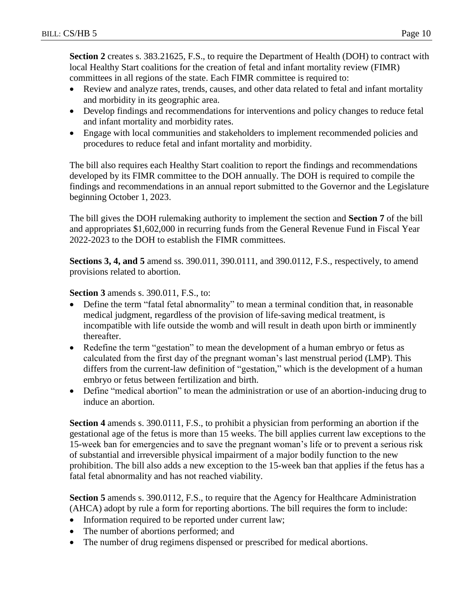**Section 2** creates s. 383.21625, F.S., to require the Department of Health (DOH) to contract with local Healthy Start coalitions for the creation of fetal and infant mortality review (FIMR) committees in all regions of the state. Each FIMR committee is required to:

- Review and analyze rates, trends, causes, and other data related to fetal and infant mortality and morbidity in its geographic area.
- Develop findings and recommendations for interventions and policy changes to reduce fetal and infant mortality and morbidity rates.
- Engage with local communities and stakeholders to implement recommended policies and procedures to reduce fetal and infant mortality and morbidity.

The bill also requires each Healthy Start coalition to report the findings and recommendations developed by its FIMR committee to the DOH annually. The DOH is required to compile the findings and recommendations in an annual report submitted to the Governor and the Legislature beginning October 1, 2023.

The bill gives the DOH rulemaking authority to implement the section and **Section 7** of the bill and appropriates \$1,602,000 in recurring funds from the General Revenue Fund in Fiscal Year 2022-2023 to the DOH to establish the FIMR committees.

**Sections 3, 4, and 5** amend ss. 390.011, 390.0111, and 390.0112, F.S., respectively, to amend provisions related to abortion.

**Section 3** amends s. 390.011, F.S., to:

- Define the term "fatal fetal abnormality" to mean a terminal condition that, in reasonable medical judgment, regardless of the provision of life-saving medical treatment, is incompatible with life outside the womb and will result in death upon birth or imminently thereafter.
- Redefine the term "gestation" to mean the development of a human embryo or fetus as calculated from the first day of the pregnant woman's last menstrual period (LMP). This differs from the current-law definition of "gestation," which is the development of a human embryo or fetus between fertilization and birth.
- Define "medical abortion" to mean the administration or use of an abortion-inducing drug to induce an abortion.

**Section 4** amends s. 390.0111, F.S., to prohibit a physician from performing an abortion if the gestational age of the fetus is more than 15 weeks. The bill applies current law exceptions to the 15-week ban for emergencies and to save the pregnant woman's life or to prevent a serious risk of substantial and irreversible physical impairment of a major bodily function to the new prohibition. The bill also adds a new exception to the 15-week ban that applies if the fetus has a fatal fetal abnormality and has not reached viability.

**Section 5** amends s. 390.0112, F.S., to require that the Agency for Healthcare Administration (AHCA) adopt by rule a form for reporting abortions. The bill requires the form to include:

- Information required to be reported under current law;
- The number of abortions performed; and
- The number of drug regimens dispensed or prescribed for medical abortions.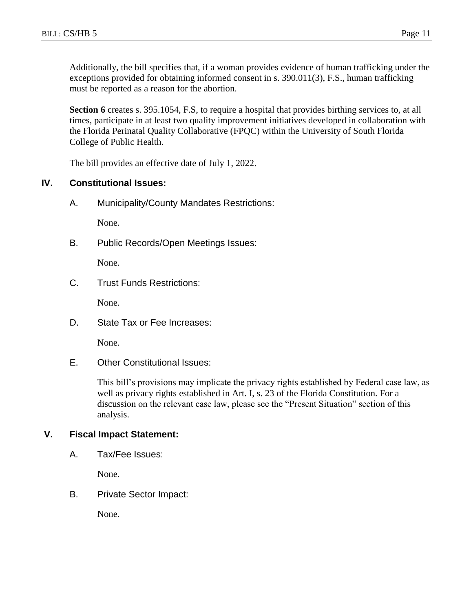Additionally, the bill specifies that, if a woman provides evidence of human trafficking under the exceptions provided for obtaining informed consent in s. 390.011(3), F.S., human trafficking must be reported as a reason for the abortion.

**Section 6** creates s. 395.1054, F.S, to require a hospital that provides birthing services to, at all times, participate in at least two quality improvement initiatives developed in collaboration with the Florida Perinatal Quality Collaborative (FPQC) within the University of South Florida College of Public Health.

The bill provides an effective date of July 1, 2022.

## **IV. Constitutional Issues:**

A. Municipality/County Mandates Restrictions:

None.

B. Public Records/Open Meetings Issues:

None.

C. Trust Funds Restrictions:

None.

D. State Tax or Fee Increases:

None.

E. Other Constitutional Issues:

This bill's provisions may implicate the privacy rights established by Federal case law, as well as privacy rights established in Art. I, s. 23 of the Florida Constitution. For a discussion on the relevant case law, please see the "Present Situation" section of this analysis.

## **V. Fiscal Impact Statement:**

A. Tax/Fee Issues:

None.

B. Private Sector Impact:

None.